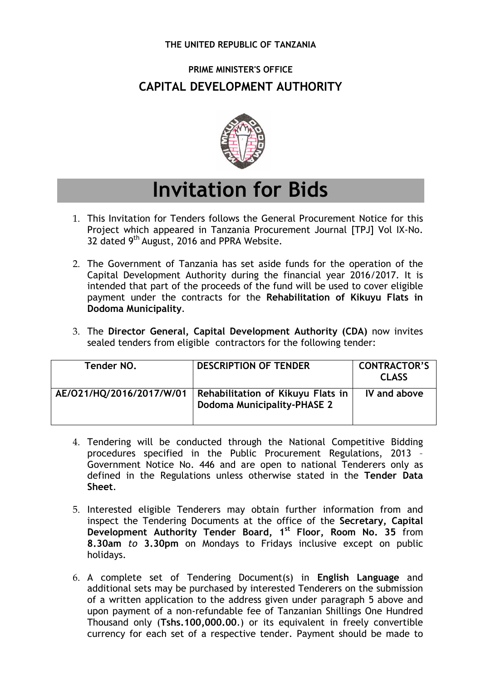## **THE UNITED REPUBLIC OF TANZANIA**

## **PRIME MINISTER'S OFFICE CAPITAL DEVELOPMENT AUTHORITY**



## **Invitation for Bids**

- 1. This Invitation for Tenders follows the General Procurement Notice for this Project which appeared in Tanzania Procurement Journal [TPJ] Vol IX-No. 32 dated 9<sup>th</sup> August, 2016 and PPRA Website.
- 2. The Government of Tanzania has set aside funds for the operation of the Capital Development Authority during the financial year 2016/2017. It is intended that part of the proceeds of the fund will be used to cover eligible payment under the contracts for the **Rehabilitation of Kikuyu Flats in Dodoma Municipality**.
- 3. The **Director General, Capital Development Authority (CDA)** now invites sealed tenders from eligible contractors for the following tender:

| Tender NO. | <b>DESCRIPTION OF TENDER</b>                                                                | <b>CONTRACTOR'S</b><br><b>CLASS</b> |
|------------|---------------------------------------------------------------------------------------------|-------------------------------------|
|            | AE/O21/HQ/2016/2017/W/01   Rehabilitation of Kikuyu Flats in<br>Dodoma Municipality-PHASE 2 | IV and above                        |

- 4. Tendering will be conducted through the National Competitive Bidding procedures specified in the Public Procurement Regulations, 2013 – Government Notice No. 446 and are open to national Tenderers only as defined in the Regulations unless otherwise stated in the **Tender Data Sheet**.
- 5. Interested eligible Tenderers may obtain further information from and inspect the Tendering Documents at the office of the **Secretary, Capital Development Authority Tender Board, 1 st Floor, Room No. 35** from **8.30am** *to* **3.30pm** on Mondays to Fridays inclusive except on public holidays.
- 6. A complete set of Tendering Document(s) in **English Language** and additional sets may be purchased by interested Tenderers on the submission of a written application to the address given under paragraph 5 above and upon payment of a non-refundable fee of Tanzanian Shillings One Hundred Thousand only (**Tshs.100,000.00**.) or its equivalent in freely convertible currency for each set of a respective tender. Payment should be made to